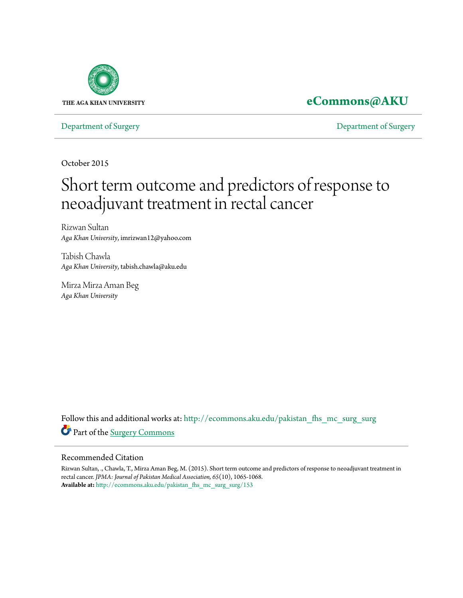

## **[eCommons@AKU](http://ecommons.aku.edu?utm_source=ecommons.aku.edu%2Fpakistan_fhs_mc_surg_surg%2F153&utm_medium=PDF&utm_campaign=PDFCoverPages)**

[Department of Surgery](http://ecommons.aku.edu/pakistan_fhs_mc_surg_surg?utm_source=ecommons.aku.edu%2Fpakistan_fhs_mc_surg_surg%2F153&utm_medium=PDF&utm_campaign=PDFCoverPages) [Department of Surgery](http://ecommons.aku.edu/pakistan_fhs_mc_surg?utm_source=ecommons.aku.edu%2Fpakistan_fhs_mc_surg_surg%2F153&utm_medium=PDF&utm_campaign=PDFCoverPages)

October 2015

# Short term outcome and predictors of response to neoadjuvant treatment in rectal cancer

Rizwan Sultan *Aga Khan University*, imrizwan12@yahoo.com

Tabish Chawla *Aga Khan University*, tabish.chawla@aku.edu

Mirza Mirza Aman Beg *Aga Khan University*

Follow this and additional works at: [http://ecommons.aku.edu/pakistan\\_fhs\\_mc\\_surg\\_surg](http://ecommons.aku.edu/pakistan_fhs_mc_surg_surg?utm_source=ecommons.aku.edu%2Fpakistan_fhs_mc_surg_surg%2F153&utm_medium=PDF&utm_campaign=PDFCoverPages) Part of the [Surgery Commons](http://network.bepress.com/hgg/discipline/706?utm_source=ecommons.aku.edu%2Fpakistan_fhs_mc_surg_surg%2F153&utm_medium=PDF&utm_campaign=PDFCoverPages)

#### Recommended Citation

Rizwan Sultan, ., Chawla, T., Mirza Aman Beg, M. (2015). Short term outcome and predictors of response to neoadjuvant treatment in rectal cancer. *JPMA: Journal of Pakistan Medical Association, 65*(10), 1065-1068. **Available at:** [http://ecommons.aku.edu/pakistan\\_fhs\\_mc\\_surg\\_surg/153](http://ecommons.aku.edu/pakistan_fhs_mc_surg_surg/153)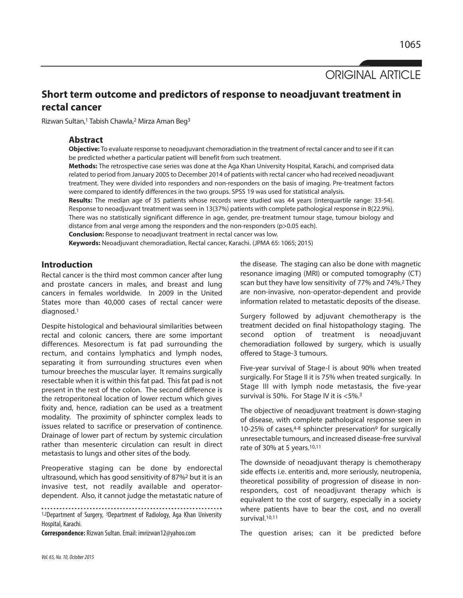ORIGINAL ARTICLE

### **Short term outcome and predictors of response to neoadjuvant treatment in rectal cancer**

Rizwan Sultan,<sup>1</sup> Tabish Chawla,<sup>2</sup> Mirza Aman Beg<sup>3</sup>

#### **Abstract**

**Objective:** To evaluate response to neoadjuvant chemoradiation in the treatment of rectal cancer and to see if it can be predicted whether a particular patient will benefit from such treatment.

**Methods:** The retrospective case series was done at the Aga Khan University Hospital, Karachi, and comprised data related to period from January 2005 to December 2014 of patients with rectal cancer who had received neoadjuvant treatment. They were divided into responders and non-responders on the basis of imaging. Pre-treatment factors were compared to identify differences in the two groups. SPSS 19 was used for statistical analysis.

**Results:** The median age of 35 patients whose records were studied was 44 years (interquartile range: 33-54). Response to neoadjuvant treatment was seen in 13(37%) patients with complete pathological response in 8(22.9%). There was no statistically significant difference in age, gender, pre-treatment tumour stage, tumour biology and distance from anal verge among the responders and the non-responders ( $p > 0.05$  each).

**Conclusion:** Response to neoadjuvant treatment in rectal cancer was low.

**Keywords:** Neoadjuvant chemoradiation, Rectal cancer, Karachi. (JPMA 65: 1065; 2015)

#### **Introduction**

Rectal cancer is the third most common cancer after lung and prostate cancers in males, and breast and lung cancers in females worldwide. In 2009 in the United States more than 40,000 cases of rectal cancer were diagnosed. 1

Despite histological and behavioural similarities between rectal and colonic cancers, there are some important differences. Mesorectum is fat pad surrounding the rectum, and contains lymphatics and lymph nodes, separating it from surrounding structures even when tumour breeches the muscular layer. It remains surgically resectable when it is within this fat pad. This fat pad is not present in the rest of the colon. The second difference is the retroperitoneal location of lower rectum which gives fixity and, hence, radiation can be used as a treatment modality. The proximity of sphincter complex leads to issues related to sacrifice or preservation of continence. Drainage of lower part of rectum by systemic circulation rather than mesenteric circulation can result in direct metastasis to lungs and other sites of the body.

Preoperative staging can be done by endorectal ultrasound, which has good sensitivity of 87%2 but it is an invasive test, not readily available and operatordependent. Also, it cannot judge the metastatic nature of

1,2Department of Surgery, 3Department of Radiology, Aga Khan University Hospital, Karachi.

**Correspondence:** Rizwan Sultan.Email: imrizwan12@yahoo.com

the disease. The staging can also be done with magnetic resonance imaging (MRI) or computed tomography (CT) scan but they have low sensitivity of 77% and 74%. <sup>2</sup> They are non-invasive, non-operator-dependent and provide information related to metastatic deposits of the disease.

Surgery followed by adjuvant chemotherapy is the treatment decided on final histopathology staging. The second option of treatment is neoadjuvant chemoradiation followed by surgery, which is usually offered to Stage-3 tumours.

Five-year survival of Stage-I is about 90% when treated surgically. For Stage II it is 75% when treated surgically. In Stage III with lymph node metastasis, the five-year survival is 50%. For Stage IV it is <5%.<sup>3</sup>

The objective of neoadjuvant treatment is down-staging of disease, with complete pathological response seen in 10-25% of cases, 4-8 sphincter preservation9 for surgically unresectable tumours, and increased disease-free survival rate of 30% at 5 years.<sup>10,11</sup>

The downside of neoadjuvant therapy is chemotherapy side effects i.e. enteritis and, more seriously, neutropenia, theoretical possibility of progression of disease in nonresponders, cost of neoadjuvant therapy which is equivalent to the cost of surgery, especially in a society where patients have to bear the cost, and no overall survival. 10,11

The question arises; can it be predicted before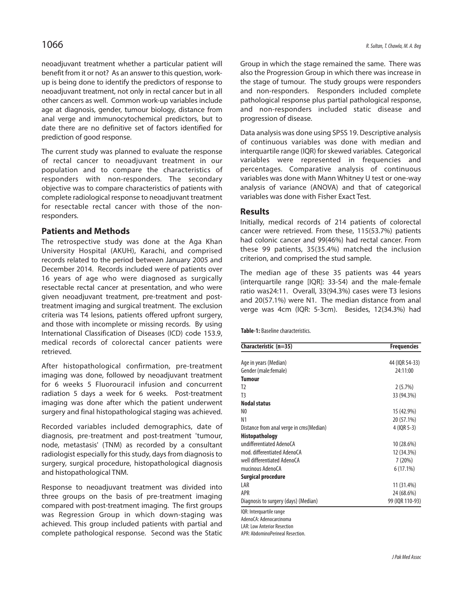neoadjuvant treatment whether a particular patient will benefit from it or not? As an answer to this question, workup is being done to identify the predictors of response to neoadjuvant treatment, not only in rectal cancer but in all other cancers as well. Common work-up variables include age at diagnosis, gender, tumour biology, distance from anal verge and immunocytochemical predictors, but to date there are no definitive set of factors identified for prediction of good response.

The current study was planned to evaluate the response of rectal cancer to neoadjuvant treatment in our population and to compare the characteristics of responders with non-responders. The secondary objective was to compare characteristics of patients with complete radiological response to neoadjuvant treatment for resectable rectal cancer with those of the nonresponders.

#### **Patients and Methods**

The retrospective study was done at the Aga Khan University Hospital (AKUH), Karachi, and comprised records related to the period between January 2005 and December 2014. Records included were of patients over 16 years of age who were diagnosed as surgically resectable rectal cancer at presentation, and who were given neoadjuvant treatment, pre-treatment and posttreatment imaging and surgical treatment. The exclusion criteria was T4 lesions, patients offered upfront surgery, and those with incomplete or missing records. By using International Classification of Diseases (ICD) code 153.9, medical records of colorectal cancer patients were retrieved.

After histopathological confirmation, pre-treatment imaging was done, followed by neoadjuvant treatment for 6 weeks 5 Fluorouracil infusion and concurrent radiation 5 days a week for 6 weeks. Post-treatment imaging was done after which the patient underwent surgery and final histopathological staging was achieved.

Recorded variables included demographics, date of diagnosis, pre-treatment and post-treatment 'tumour, node, metastasis' (TNM) as recorded by a consultant radiologist especially for this study, days from diagnosis to surgery, surgical procedure, histopathological diagnosis and histopathological TNM.

Response to neoadjuvant treatment was divided into three groups on the basis of pre-treatment imaging compared with post-treatment imaging. The first groups was Regression Group in which down-staging was achieved. This group included patients with partial and complete pathological response. Second was the Static Group in which the stage remained the same. There was also the Progression Group in which there was increase in the stage of tumour. The study groups were responders and non-responders. Responders included complete pathological response plus partial pathological response, and non-responders included static disease and progression of disease.

Data analysis was done using SPSS 19. Descriptive analysis of continuous variables was done with median and interquartile range (IQR) for skewed variables. Categorical variables were represented in frequencies and percentages. Comparative analysis of continuous variables was done with Mann Whitney U test or one-way analysis of variance (ANOVA) and that of categorical variables was done with Fisher Exact Test.

#### **Results**

Initially, medical records of 214 patients of colorectal cancer were retrieved. From these, 115(53.7%) patients had colonic cancer and 99(46%) had rectal cancer. From these 99 patients, 35(35.4%) matched the inclusion criterion, and comprised the stud sample.

The median age of these 35 patients was 44 years (interquartile range [IQR]: 33-54) and the male-female ratio was24:11. Overall, 33(94.3%) cases were T3 lesions and 20(57.1%) were N1. The median distance from anal verge was 4cm (IQR: 5-3cm). Besides, 12(34.3%) had

**Table-1:** Baseline characteristics.

| <b>Frequencies</b> |
|--------------------|
| 44 (IQR 54-33)     |
| 24:11:00           |
|                    |
| 2(5.7%)            |
| 33 (94.3%)         |
|                    |
| 15 (42.9%)         |
| 20 (57.1%)         |
| 4 (IQR 5-3)        |
|                    |
| 10 (28.6%)         |
| 12 (34.3%)         |
| 7(20%)             |
| $6(17.1\%)$        |
|                    |
| 11 (31.4%)         |
| 24 (68.6%)         |
| 99 (IQR 110-93)    |
|                    |

IQR: Interquartile range

AdenoCA: Adenocarcinoma

LAR: Low Anterior Resection

APR: AbdominoPerineal Resection.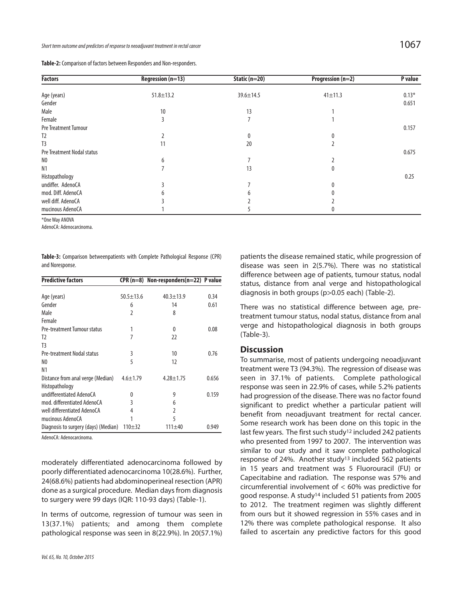| <b>Factors</b>              | <b>Regression (n=13)</b> | Static ( $n=20$ ) | Progression (n=2) | <b>P</b> value |
|-----------------------------|--------------------------|-------------------|-------------------|----------------|
| Age (years)                 | $51.8 \pm 13.2$          | $39.6 \pm 14.5$   | $41 \pm 11.3$     | $0.13*$        |
| Gender                      |                          |                   |                   | 0.651          |
| Male                        | 10                       | 13                |                   |                |
| Female                      | 3                        |                   |                   |                |
| <b>Pre Treatment Tumour</b> |                          |                   |                   | 0.157          |
| T <sub>2</sub>              |                          | 0                 | 0                 |                |
| T <sub>3</sub>              | 11                       | 20                |                   |                |
| Pre Treatment Nodal status  |                          |                   |                   | 0.675          |
| N <sub>0</sub>              | h                        |                   |                   |                |
| N <sub>1</sub>              |                          | 13                | 0                 |                |
| Histopathology              |                          |                   |                   | 0.25           |
| undiffer. AdenoCA           |                          |                   | 0                 |                |
| mod. Diff. AdenoCA          | h                        | h                 |                   |                |
| well diff. AdenoCA          |                          |                   |                   |                |
| mucinous AdenoCA            |                          |                   |                   |                |

\*OneWay ANOVA

AdenoCA: Adenocarcinoma.

**Table-3:** Comparison betweenpatients with Complete Pathological Response (CPR) and Noresponse.

| <b>Predictive factors</b>            |                 | CPR (n=8) Non-responders(n=22) P value |       |
|--------------------------------------|-----------------|----------------------------------------|-------|
| Age (years)                          | $50.5 \pm 13.6$ | $40.3 \pm 13.9$                        | 0.34  |
|                                      |                 |                                        |       |
| Gender                               | 6               | 14                                     | 0.61  |
| Male                                 | $\overline{2}$  | 8                                      |       |
| Female                               |                 |                                        |       |
| Pre-treatment Tumour status          | 1               | $\Omega$                               | 0.08  |
| T <sub>2</sub>                       | 7               | 22                                     |       |
| T3                                   |                 |                                        |       |
| Pre-treatment Nodal status           | 3               | 10                                     | 0.76  |
| N <sub>0</sub>                       | 5               | 12                                     |       |
| N <sub>1</sub>                       |                 |                                        |       |
| Distance from anal verge (Median)    | $4.6 \pm 1.79$  | $4.28 + 1.75$                          | 0.656 |
| Histopathology                       |                 |                                        |       |
| undifferentiated AdenoCA             | 0               | 9                                      | 0.159 |
| mod. differentiated AdenoCA          | 3               | 6                                      |       |
| well differentiated AdenoCA          | 4               | $\mathfrak z$                          |       |
| mucinous AdenoCA                     |                 | 5                                      |       |
| Diagnosis to surgery (days) (Median) | $110 + 32$      | $111 + 40$                             | 0.949 |

AdenoCA: Adenocarcinoma.

moderately differentiated adenocarcinoma followed by poorly differentiated adenocarcinoma 10(28.6%). Further, 24(68.6%) patients had abdominoperineal resection (APR) done as a surgical procedure. Median days from diagnosis to surgery were 99 days (IQR: 110-93 days) (Table-1).

In terms of outcome, regression of tumour was seen in 13(37.1%) patients; and among them complete pathological response was seen in 8(22.9%). In 20(57.1%) patients the disease remained static, while progression of disease was seen in 2(5.7%). There was no statistical difference between age of patients, tumour status, nodal status, distance from anal verge and histopathological diagnosis in both groups (p>0.05 each) (Table-2).

There was no statistical difference between age, pretreatment tumour status, nodal status, distance from anal verge and histopathological diagnosis in both groups (Table-3).

#### **Discussion**

To summarise, most of patients undergoing neoadjuvant treatment were T3 (94.3%). The regression of disease was seen in 37.1% of patients. Complete pathological response was seen in 22.9% of cases, while 5.2% patients had progression of the disease. There was no factor found significant to predict whether a particular patient will benefit from neoadjuvant treatment for rectal cancer. Some research work has been done on this topic in the last few years. The first such study<sup>12</sup> included 242 patients who presented from 1997 to 2007. The intervention was similar to our study and it saw complete pathological response of 24%. Another study<sup>13</sup> included 562 patients in 15 years and treatment was 5 Fluorouracil (FU) or Capecitabine and radiation. The response was 57% and circumferential involvement of < 60% was predictive for good response. A study14 included 51 patients from 2005 to 2012. The treatment regimen was slightly different from ours but it showed regression in 55% cases and in 12% there was complete pathological response. It also failed to ascertain any predictive factors for this good